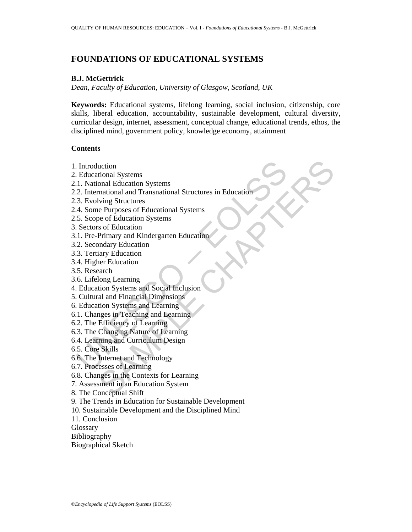# **FOUNDATIONS OF EDUCATIONAL SYSTEMS**

#### **B.J. McGettrick**

*Dean, Faculty of Education, University of Glasgow, Scotland, UK* 

**Keywords:** Educational systems, lifelong learning, social inclusion, citizenship, core skills, liberal education, accountability, sustainable development, cultural diversity, curricular design, internet, assessment, conceptual change, educational trends, ethos, the disciplined mind, government policy, knowledge economy, attainment

### **Contents**

- 1. Introduction
- 2. Educational Systems
- 2.1. National Education Systems
- Introduction<br>
Educational Systems<br>
1. National Education Systems<br>
2. International and Transnational Structures in Education<br>
3. Evolving Structures<br>
4. Some Purposes of Educational Systems<br>
5. Secore of Education Systems<br> uction<br>
sonal Esystems<br>
mational and Transnational Structures in Education<br>
mational and Transnational Systems<br>
e of Education Systems<br>
e of Education Systems<br>
e of Education<br>
Primary and Kindergarten Education<br>
production 2.2. International and Transnational Structures in Education
- 2.3. Evolving Structures
- 2.4. Some Purposes of Educational Systems
- 2.5. Scope of Education Systems
- 3. Sectors of Education
- 3.1. Pre-Primary and Kindergarten Education
- 3.2. Secondary Education
- 3.3. Tertiary Education
- 3.4. Higher Education
- 3.5. Research
- 3.6. Lifelong Learning
- 4. Education Systems and Social Inclusion
- 5. Cultural and Financial Dimensions
- 6. Education Systems and Learning
- 6.1. Changes in Teaching and Learning
- 6.2. The Efficiency of Learning
- 6.3. The Changing Nature of Learning
- 6.4. Learning and Curriculum Design
- 6.5. Core Skills
- 6.6. The Internet and Technology
- 6.7. Processes of Learning
- 6.8. Changes in the Contexts for Learning
- 7. Assessment in an Education System
- 8. The Conceptual Shift
- 9. The Trends in Education for Sustainable Development
- 10. Sustainable Development and the Disciplined Mind
- 11. Conclusion
- **Glossary**
- Bibliography
- Biographical Sketch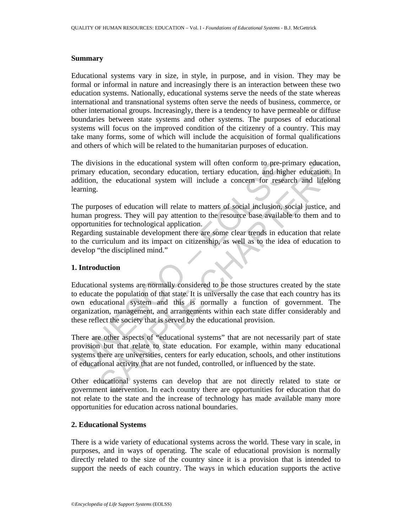#### **Summary**

Educational systems vary in size, in style, in purpose, and in vision. They may be formal or informal in nature and increasingly there is an interaction between these two education systems. Nationally, educational systems serve the needs of the state whereas international and transnational systems often serve the needs of business, commerce, or other international groups. Increasingly, there is a tendency to have permeable or diffuse boundaries between state systems and other systems. The purposes of educational systems will focus on the improved condition of the citizenry of a country. This may take many forms, some of which will include the acquisition of formal qualifications and others of which will be related to the humanitarian purposes of education.

The divisions in the educational system will often conform to pre-primary education, primary education, secondary education, tertiary education, and higher education. In addition, the educational system will include a concern for research and lifelong learning.

The purposes of education will relate to matters of social inclusion, social justice, and human progress. They will pay attention to the resource base available to them and to opportunities for technological application.

Regarding sustainable development there are some clear trends in education that relate to the curriculum and its impact on citizenship, as well as to the idea of education to develop "the disciplined mind."

# **1. Introduction**

the divisions in the educational system will often conform to pre-pr<br>
rimary education, secondary education, tertiary education, and higher<br>
didition, the educational system will include a concern for resear<br>
arming.<br>
the sions in the educational system will often conform to pre-primary education<br>education, secondary education, tertiary education, and higher education. I<br>the educational system will include a concern for research and lifelon Educational systems are normally considered to be those structures created by the state to educate the population of that state. It is universally the case that each country has its own educational system and this is normally a function of government. The organization, management, and arrangements within each state differ considerably and these reflect the society that is served by the educational provision.

There are other aspects of "educational systems" that are not necessarily part of state provision but that relate to state education. For example, within many educational systems there are universities, centers for early education, schools, and other institutions of educational activity that are not funded, controlled, or influenced by the state.

Other educational systems can develop that are not directly related to state or government intervention. In each country there are opportunities for education that do not relate to the state and the increase of technology has made available many more opportunities for education across national boundaries.

# **2. Educational Systems**

There is a wide variety of educational systems across the world. These vary in scale, in purposes, and in ways of operating. The scale of educational provision is normally directly related to the size of the country since it is a provision that is intended to support the needs of each country. The ways in which education supports the active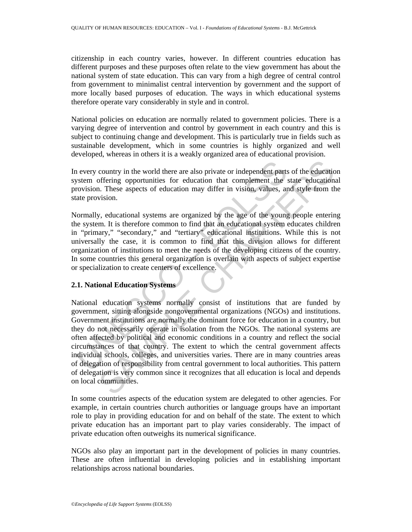citizenship in each country varies, however. In different countries education has different purposes and these purposes often relate to the view government has about the national system of state education. This can vary from a high degree of central control from government to minimalist central intervention by government and the support of more locally based purposes of education. The ways in which educational systems therefore operate vary considerably in style and in control.

National policies on education are normally related to government policies. There is a varying degree of intervention and control by government in each country and this is subject to continuing change and development. This is particularly true in fields such as sustainable development, which in some countries is highly organized and well developed, whereas in others it is a weakly organized area of educational provision.

In every country in the world there are also private or independent parts of the education system offering opportunities for education that complement the state educational provision. These aspects of education may differ in vision, values, and style from the state provision.

Normally, educational systems are organized by the age of the young people entering the system. It is therefore common to find that an educational system educates children in "primary," "secondary," and "tertiary" educational institutions. While this is not universally the case, it is common to find that this division allows for different organization of institutions to meet the needs of the developing citizens of the country. In some countries this general organization is overlain with aspects of subject expertise or specialization to create centers of excellence.

# **2.1. National Education Systems**

n every country in the world there are also private or independent parts<br>ystem offering opportunities for education that complement the irovision. These aspects of education may differ in vision, values, an<br>atte provision. country in the world there are also private or independent parts of the education<br>offering opportunities for education that complement the state education<br>.1. These aspects of education may differ in vision, values, and st National education systems normally consist of institutions that are funded by government, sitting alongside nongovernmental organizations (NGOs) and institutions. Government institutions are normally the dominant force for education in a country, but they do not necessarily operate in isolation from the NGOs. The national systems are often affected by political and economic conditions in a country and reflect the social circumstances of that country. The extent to which the central government affects individual schools, colleges, and universities varies. There are in many countries areas of delegation of responsibility from central government to local authorities. This pattern of delegation is very common since it recognizes that all education is local and depends on local communities.

In some countries aspects of the education system are delegated to other agencies. For example, in certain countries church authorities or language groups have an important role to play in providing education for and on behalf of the state. The extent to which private education has an important part to play varies considerably. The impact of private education often outweighs its numerical significance.

NGOs also play an important part in the development of policies in many countries. These are often influential in developing policies and in establishing important relationships across national boundaries.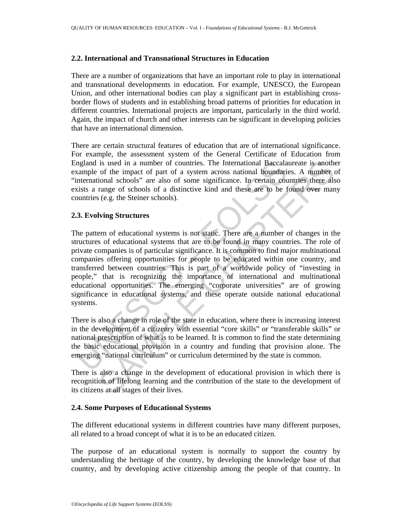#### **2.2. International and Transnational Structures in Education**

There are a number of organizations that have an important role to play in international and transnational developments in education. For example, UNESCO, the European Union, and other international bodies can play a significant part in establishing crossborder flows of students and in establishing broad patterns of priorities for education in different countries. International projects are important, particularly in the third world. Again, the impact of church and other interests can be significant in developing policies that have an international dimension.

There are certain structural features of education that are of international significance. For example, the assessment system of the General Certificate of Education from England is used in a number of countries. The International Baccalaureate is another example of the impact of part of a system across national boundaries. A number of "international schools" are also of some significance. In certain countries there also exists a range of schools of a distinctive kind and these are to be found over many countries (e.g. the Steiner schools).

### **2.3. Evolving Structures**

In the same of countries. The International Baccala<br>
maland is used in a number of countries. The International boundari<br>
international schools' are also of some significance. In certain countries<br>
international schools of is used in a number of countries. The International Baccalaureate is another of part of a system across national boundaries. A number of part of a system across national boundaries. A number of schools of a distinctive kin The pattern of educational systems is not static. There are a number of changes in the structures of educational systems that are to be found in many countries. The role of private companies is of particular significance. It is common to find major multinational companies offering opportunities for people to be educated within one country, and transferred between countries. This is part of a worldwide policy of "investing in people," that is recognizing the importance of international and multinational educational opportunities. The emerging "corporate universities" are of growing significance in educational systems, and these operate outside national educational systems.

There is also a change in role of the state in education, where there is increasing interest in the development of a citizenry with essential "core skills" or "transferable skills" or national prescription of what is to be learned. It is common to find the state determining the basic educational provision in a country and funding that provision alone. The emerging "national curriculum" or curriculum determined by the state is common.

There is also a change in the development of educational provision in which there is recognition of lifelong learning and the contribution of the state to the development of its citizens at all stages of their lives.

# **2.4. Some Purposes of Educational Systems**

The different educational systems in different countries have many different purposes, all related to a broad concept of what it is to be an educated citizen.

The purpose of an educational system is normally to support the country by understanding the heritage of the country, by developing the knowledge base of that country, and by developing active citizenship among the people of that country. In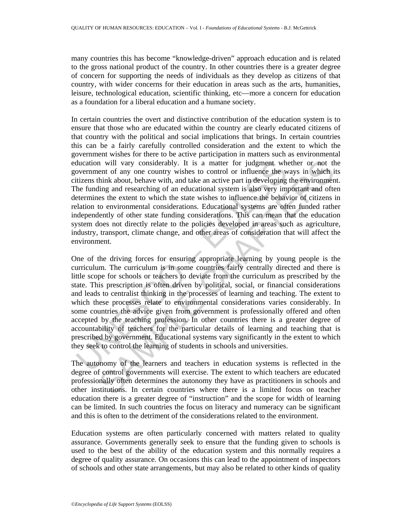many countries this has become "knowledge-driven" approach education and is related to the gross national product of the country. In other countries there is a greater degree of concern for supporting the needs of individuals as they develop as citizens of that country, with wider concerns for their education in areas such as the arts, humanities, leisure, technological education, scientific thinking, etc—more a concern for education as a foundation for a liberal education and a humane society.

In certain countries the overt and distinctive contribution of the education system is to ensure that those who are educated within the country are clearly educated citizens of that country with the political and social implications that brings. In certain countries this can be a fairly carefully controlled consideration and the extent to which the government wishes for there to be active participation in matters such as environmental education will vary considerably. It is a matter for judgment whether or not the government of any one country wishes to control or influence the ways in which its citizens think about, behave with, and take an active part in developing the environment. The funding and researching of an educational system is also very important and often determines the extent to which the state wishes to influence the behavior of citizens in relation to environmental considerations. Educational systems are often funded rather independently of other state funding considerations. This can mean that the education system does not directly relate to the policies developed in areas such as agriculture, industry, transport, climate change, and other areas of consideration that will affect the environment.

ducation will vary considerably. It is a matter for judgment whovernment of any one country wishes to control or influence the w<br>titzens think about, behave with, and take an active part in developing<br>the funding and resea n will vary considerably. It is a matter for judgment whether or not the ment of my one country wishes to control or influence the ways in which it hand the ment of my one country wishes to control or influence the ways in One of the driving forces for ensuring appropriate learning by young people is the curriculum. The curriculum is in some countries fairly centrally directed and there is little scope for schools or teachers to deviate from the curriculum as prescribed by the state. This prescription is often driven by political, social, or financial considerations and leads to centralist thinking in the processes of learning and teaching. The extent to which these processes relate to environmental considerations varies considerably. In some countries the advice given from government is professionally offered and often accepted by the teaching profession. In other countries there is a greater degree of accountability of teachers for the particular details of learning and teaching that is prescribed by government. Educational systems vary significantly in the extent to which they seek to control the learning of students in schools and universities.

The autonomy of the learners and teachers in education systems is reflected in the degree of control governments will exercise. The extent to which teachers are educated professionally often determines the autonomy they have as practitioners in schools and other institutions. In certain countries where there is a limited focus on teacher education there is a greater degree of "instruction" and the scope for width of learning can be limited. In such countries the focus on literacy and numeracy can be significant and this is often to the detriment of the considerations related to the environment.

Education systems are often particularly concerned with matters related to quality assurance. Governments generally seek to ensure that the funding given to schools is used to the best of the ability of the education system and this normally requires a degree of quality assurance. On occasions this can lead to the appointment of inspectors of schools and other state arrangements, but may also be related to other kinds of quality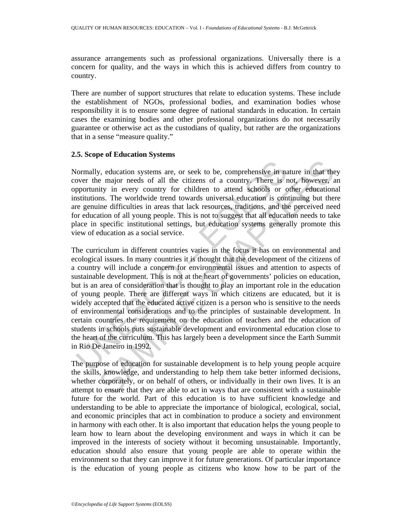assurance arrangements such as professional organizations. Universally there is a concern for quality, and the ways in which this is achieved differs from country to country.

There are number of support structures that relate to education systems. These include the establishment of NGOs, professional bodies, and examination bodies whose responsibility it is to ensure some degree of national standards in education. In certain cases the examining bodies and other professional organizations do not necessarily guarantee or otherwise act as the custodians of quality, but rather are the organizations that in a sense "measure quality."

### **2.5. Scope of Education Systems**

Normally, education systems are, or seek to be, comprehensive in nature in that they cover the major needs of all the citizens of a country. There is not, however, an opportunity in every country for children to attend schools or other educational institutions. The worldwide trend towards universal education is continuing but there are genuine difficulties in areas that lack resources, traditions, and the perceived need for education of all young people. This is not to suggest that all education needs to take place in specific institutional settings, but education systems generally promote this view of education as a social service.

formally, education systems are, or seek to be, comprehensive in no<br>voer the major needs of all the citizens of a country. There is r<br>pportunity in every country for children to attend schools or c<br>stitutions. The worldwid y, education systems are, or seek to be, comprehensive in nature in that the major needs of all the citizens of a country. There is not, however, a ity in every country for children to attend schools or other educations, The curriculum in different countries varies in the focus it has on environmental and ecological issues. In many countries it is thought that the development of the citizens of a country will include a concern for environmental issues and attention to aspects of sustainable development. This is not at the heart of governments' policies on education, but is an area of consideration that is thought to play an important role in the education of young people. There are different ways in which citizens are educated, but it is widely accepted that the educated active citizen is a person who is sensitive to the needs of environmental considerations and to the principles of sustainable development. In certain countries the requirement on the education of teachers and the education of students in schools puts sustainable development and environmental education close to the heart of the curriculum. This has largely been a development since the Earth Summit in Rio De Janeiro in 1992.

The purpose of education for sustainable development is to help young people acquire the skills, knowledge, and understanding to help them take better informed decisions, whether corporately, or on behalf of others, or individually in their own lives. It is an attempt to ensure that they are able to act in ways that are consistent with a sustainable future for the world. Part of this education is to have sufficient knowledge and understanding to be able to appreciate the importance of biological, ecological, social, and economic principles that act in combination to produce a society and environment in harmony with each other. It is also important that education helps the young people to learn how to learn about the developing environment and ways in which it can be improved in the interests of society without it becoming unsustainable. Importantly, education should also ensure that young people are able to operate within the environment so that they can improve it for future generations. Of particular importance is the education of young people as citizens who know how to be part of the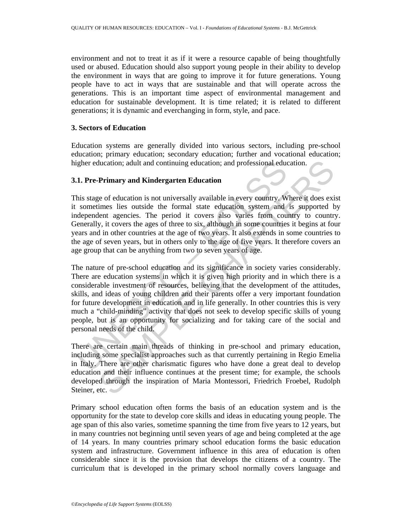environment and not to treat it as if it were a resource capable of being thoughtfully used or abused. Education should also support young people in their ability to develop the environment in ways that are going to improve it for future generations. Young people have to act in ways that are sustainable and that will operate across the generations. This is an important time aspect of environmental management and education for sustainable development. It is time related; it is related to different generations; it is dynamic and everchanging in form, style, and pace.

### **3. Sectors of Education**

Education systems are generally divided into various sectors, including pre-school education; primary education; secondary education; further and vocational education; higher education; adult and continuing education; and professional education.

### **3.1. Pre-Primary and Kindergarten Education**

This stage of education is not universally available in every country. Where it does exist it sometimes lies outside the formal state education system and is supported by independent agencies. The period it covers also varies from country to country. Generally, it covers the ages of three to six, although in some countries it begins at four years and in other countries at the age of two years. It also extends in some countries to the age of seven years, but in others only to the age of five years. It therefore covers an age group that can be anything from two to seven years of age.

igher education; adult and continuing education; and professional education.<br>
1. Pre-Primary and Kindergarten Education<br>
his stage of education is not universally available in every country. We<br>
sometimes lies outside the theation; adult and continuing education; and professional education.<br> **Primary and Kindergarten Education**<br>
ce of education is not universally available in every country. Where it does exiselnes lies outside the formal st The nature of pre-school education and its significance in society varies considerably. There are education systems in which it is given high priority and in which there is a considerable investment of resources, believing that the development of the attitudes, skills, and ideas of young children and their parents offer a very important foundation for future development in education and in life generally. In other countries this is very much a "child-minding" activity that does not seek to develop specific skills of young people, but is an opportunity for socializing and for taking care of the social and personal needs of the child.

There are certain main threads of thinking in pre-school and primary education, including some specialist approaches such as that currently pertaining in Regio Emelia in Italy. There are other charismatic figures who have done a great deal to develop education and their influence continues at the present time; for example, the schools developed through the inspiration of Maria Montessori, Friedrich Froebel, Rudolph Steiner, etc.

Primary school education often forms the basis of an education system and is the opportunity for the state to develop core skills and ideas in educating young people. The age span of this also varies, sometime spanning the time from five years to 12 years, but in many countries not beginning until seven years of age and being completed at the age of 14 years. In many countries primary school education forms the basic education system and infrastructure. Government influence in this area of education is often considerable since it is the provision that develops the citizens of a country. The curriculum that is developed in the primary school normally covers language and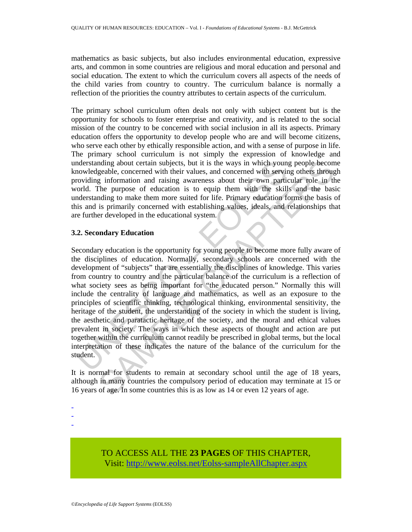mathematics as basic subjects, but also includes environmental education, expressive arts, and common in some countries are religious and moral education and personal and social education. The extent to which the curriculum covers all aspects of the needs of the child varies from country to country. The curriculum balance is normally a reflection of the priorities the country attributes to certain aspects of the curriculum.

The primary school curriculum often deals not only with subject content but is the opportunity for schools to foster enterprise and creativity, and is related to the social mission of the country to be concerned with social inclusion in all its aspects. Primary education offers the opportunity to develop people who are and will become citizens, who serve each other by ethically responsible action, and with a sense of purpose in life. The primary school curriculum is not simply the expression of knowledge and understanding about certain subjects, but it is the ways in which young people become knowledgeable, concerned with their values, and concerned with serving others through providing information and raising awareness about their own particular role in the world. The purpose of education is to equip them with the skills and the basic understanding to make them more suited for life. Primary education forms the basis of this and is primarily concerned with establishing values, ideals, and relationships that are further developed in the educational system.

# **3.2. Secondary Education**

monovelogeable, concerned with their values, solution to the search with service of the concerned with servicoviding information and raising awareness about their who particulated cordination or order of the skill oderstan nding about certain subjects, but it is the ways in which young people becomed with their values, and concerned with serving others througe g information and raising awareness about their worn particular role in the purpos Secondary education is the opportunity for young people to become more fully aware of the disciplines of education. Normally, secondary schools are concerned with the development of "subjects" that are essentially the disciplines of knowledge. This varies from country to country and the particular balance of the curriculum is a reflection of what society sees as being important for "the educated person." Normally this will include the centrality of language and mathematics, as well as an exposure to the principles of scientific thinking, technological thinking, environmental sensitivity, the heritage of the student, the understanding of the society in which the student is living, the aesthetic and paratactic heritage of the society, and the moral and ethical values prevalent in society. The ways in which these aspects of thought and action are put together within the curriculum cannot readily be prescribed in global terms, but the local interpretation of these indicates the nature of the balance of the curriculum for the student.

It is normal for students to remain at secondary school until the age of 18 years, although in many countries the compulsory period of education may terminate at 15 or 16 years of age. In some countries this is as low as 14 or even 12 years of age.

- -

-

TO ACCESS ALL THE **23 PAGES** OF THIS CHAPTER, Visi[t: http://www.eolss.net/Eolss-sampleAllChapter.aspx](https://www.eolss.net/ebooklib/sc_cart.aspx?File=E1-12-01)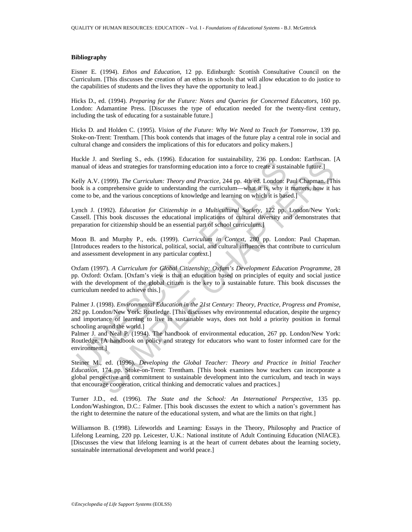#### **Bibliography**

Eisner E. (1994). *Ethos and Education*, 12 pp. Edinburgh: Scottish Consultative Council on the Curriculum. [This discusses the creation of an ethos in schools that will allow education to do justice to the capabilities of students and the lives they have the opportunity to lead.]

Hicks D., ed. (1994). *Preparing for the Future: Notes and Queries for Concerned Educators*, 160 pp. London: Adamantine Press. [Discusses the type of education needed for the twenty-first century, including the task of educating for a sustainable future.]

Hicks D. and Holden C. (1995). *Vision of the Future: Why We Need to Teach for Tomorrow*, 139 pp. Stoke-on-Trent: Trentham. [This book contends that images of the future play a central role in social and cultural change and considers the implications of this for educators and policy makers.]

Huckle J. and Sterling S., eds. (1996). Education for sustainability, 236 pp. London: Earthscan. [A manual of ideas and strategies for transforming education into a force to create a sustainable future.]

Kelly A.V. (1999). *The Curriculum: Theory and Practice*, 244 pp. 4th ed. London: Paul Chapman. [This book is a comprehensive guide to understanding the curriculum—what it is, why it matters, how it has come to be, and the various conceptions of knowledge and learning on which it is based.]

Lynch J. (1992). *Education for Citizenship in a Multicultural Society*, 122 pp. London/New York: Cassell. [This book discusses the educational implications of cultural diversity and demonstrates that preparation for citizenship should be an essential part of school curriculum.]

Moon B. and Murphy P., eds. (1999). *Curriculum in Context*, 280 pp. London: Paul Chapman. [Introduces readers to the historical, political, social, and cultural influences that contribute to curriculum and assessment development in any particular context.]

ucker 3. and stering 5., eas. (1990). Entertainm in sustainaming, 2.50 pp. London<br>anual of ideas and strategies for transforming education into a force to create a sustainal of ideas and strategies for transforming educati and Sterning S., ets. (1996). Exacted<br>for ideas and strategies for transforming education into a force to create a sustainable future.]<br>(1999). The Curriculum: Theory and Practice, 244 pp. 4th ed. London: Paul Chapman. [T Oxfam (1997). *A Curriculum for Global Citizenship: Oxfam's Development Education Programme,* 28 pp. Oxford: Oxfam. [Oxfam's view is that an education based on principles of equity and social justice with the development of the global citizen is the key to a sustainable future. This book discusses the curriculum needed to achieve this.]

Palmer J. (1998). *Environmental Education in the 21st Century: Theory, Practice, Progress and Promise*, 282 pp. London/New York: Routledge. [This discusses why environmental education, despite the urgency and importance of learning to live in sustainable ways, does not hold a priority position in formal schooling around the world.]

Palmer J. and Neal P. (1994). The handbook of environmental education, 267 pp. London/New York: Routledge. [A handbook on policy and strategy for educators who want to foster informed care for the environment.]

Steiner M., ed. (1996). *Developing the Global Teacher: Theory and Practice in Initial Teacher Education*, 174 pp. Stoke-on-Trent: Trentham. [This book examines how teachers can incorporate a global perspective and commitment to sustainable development into the curriculum, and teach in ways that encourage cooperation, critical thinking and democratic values and practices.]

Turner J.D., ed. (1996). *The State and the School: An International Perspective*, 135 pp. London/Washington, D.C.: Falmer. [This book discusses the extent to which a nation's government has the right to determine the nature of the educational system, and what are the limits on that right.]

Williamson B. (1998). Lifeworlds and Learning: Essays in the Theory, Philosophy and Practice of Lifelong Learning, 220 pp. Leicester, U.K.: National institute of Adult Continuing Education (NIACE). [Discusses the view that lifelong learning is at the heart of current debates about the learning society, sustainable international development and world peace.]